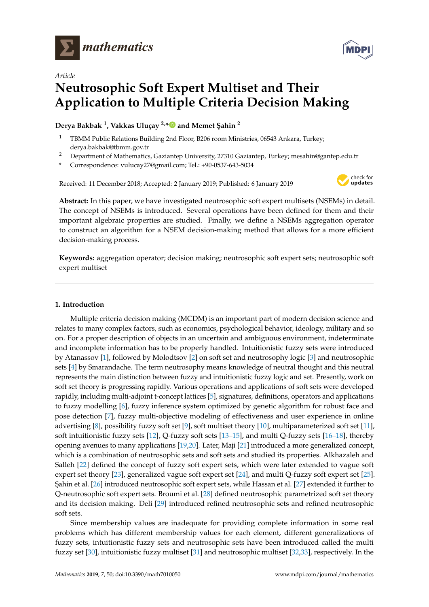



# *Article* **Neutrosophic Soft Expert Multiset and Their Application to Multiple Criteria Decision Making**

**Derya Bakbak <sup>1</sup> , Vakkas Uluçay 2,[\\*](https://orcid.org/0000-0001-5580-7037) and Memet ¸Sahin <sup>2</sup>**

- <sup>1</sup> TBMM Public Relations Building 2nd Floor, B206 room Ministries, 06543 Ankara, Turkey; derya.bakbak@tbmm.gov.tr
- <sup>2</sup> Department of Mathematics, Gaziantep University, 27310 Gaziantep, Turkey; mesahin@gantep.edu.tr
- **\*** Correspondence: vulucay27@gmail.com; Tel.: +90-0537-643-5034

Received: 11 December 2018; Accepted: 2 January 2019; Published: 6 January 2019



**Abstract:** In this paper, we have investigated neutrosophic soft expert multisets (NSEMs) in detail. The concept of NSEMs is introduced. Several operations have been defined for them and their important algebraic properties are studied. Finally, we define a NSEMs aggregation operator to construct an algorithm for a NSEM decision-making method that allows for a more efficient decision-making process.

**Keywords:** aggregation operator; decision making; neutrosophic soft expert sets; neutrosophic soft expert multiset

# **1. Introduction**

Multiple criteria decision making (MCDM) is an important part of modern decision science and relates to many complex factors, such as economics, psychological behavior, ideology, military and so on. For a proper description of objects in an uncertain and ambiguous environment, indeterminate and incomplete information has to be properly handled. Intuitionistic fuzzy sets were introduced by Atanassov [\[1\]](#page-15-0), followed by Molodtsov [\[2\]](#page-15-1) on soft set and neutrosophy logic [\[3\]](#page-15-2) and neutrosophic sets [\[4\]](#page-15-3) by Smarandache. The term neutrosophy means knowledge of neutral thought and this neutral represents the main distinction between fuzzy and intuitionistic fuzzy logic and set. Presently, work on soft set theory is progressing rapidly. Various operations and applications of soft sets were developed rapidly, including multi-adjoint t-concept lattices [\[5\]](#page-15-4), signatures, definitions, operators and applications to fuzzy modelling [\[6\]](#page-15-5), fuzzy inference system optimized by genetic algorithm for robust face and pose detection [\[7\]](#page-15-6), fuzzy multi-objective modeling of effectiveness and user experience in online advertising [\[8\]](#page-15-7), possibility fuzzy soft set [\[9\]](#page-15-8), soft multiset theory [\[10\]](#page-15-9), multiparameterized soft set [\[11\]](#page-15-10), soft intuitionistic fuzzy sets [\[12\]](#page-15-11), Q-fuzzy soft sets [\[13–](#page-15-12)[15\]](#page-15-13), and multi Q-fuzzy sets [\[16](#page-15-14)[–18\]](#page-15-15), thereby opening avenues to many applications [\[19,](#page-15-16)[20\]](#page-15-17). Later, Maji [\[21\]](#page-15-18) introduced a more generalized concept, which is a combination of neutrosophic sets and soft sets and studied its properties. Alkhazaleh and Salleh [\[22\]](#page-15-19) defined the concept of fuzzy soft expert sets, which were later extended to vague soft expert set theory [\[23\]](#page-15-20), generalized vague soft expert set [\[24\]](#page-15-21), and multi Q-fuzzy soft expert set [\[25\]](#page-16-0). ¸Sahin et al. [\[26\]](#page-16-1) introduced neutrosophic soft expert sets, while Hassan et al. [\[27\]](#page-16-2) extended it further to Q-neutrosophic soft expert sets. Broumi et al. [\[28\]](#page-16-3) defined neutrosophic parametrized soft set theory and its decision making. Deli [\[29\]](#page-16-4) introduced refined neutrosophic sets and refined neutrosophic soft sets.

Since membership values are inadequate for providing complete information in some real problems which has different membership values for each element, different generalizations of fuzzy sets, intuitionistic fuzzy sets and neutrosophic sets have been introduced called the multi fuzzy set [\[30\]](#page-16-5), intuitionistic fuzzy multiset [\[31\]](#page-16-6) and neutrosophic multiset [\[32,](#page-16-7)[33\]](#page-16-8), respectively. In the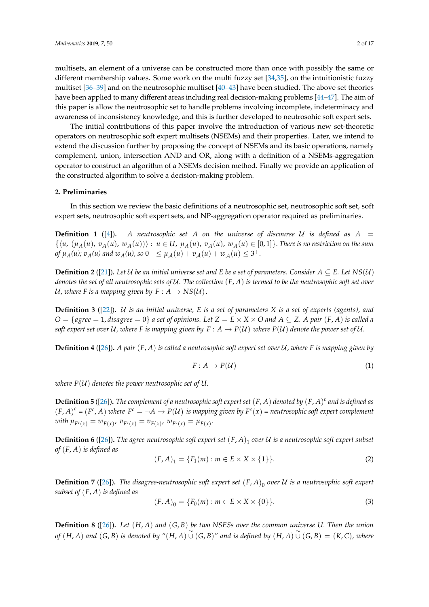multisets, an element of a universe can be constructed more than once with possibly the same or different membership values. Some work on the multi fuzzy set [\[34,](#page-16-9)[35\]](#page-16-10), on the intuitionistic fuzzy multiset [\[36–](#page-16-11)[39\]](#page-16-12) and on the neutrosophic multiset [\[40–](#page-16-13)[43\]](#page-16-14) have been studied. The above set theories have been applied to many different areas including real decision-making problems [\[44–](#page-16-15)[47\]](#page-16-16). The aim of this paper is allow the neutrosophic set to handle problems involving incomplete, indeterminacy and awareness of inconsistency knowledge, and this is further developed to neutrosohic soft expert sets.

The initial contributions of this paper involve the introduction of various new set-theoretic operators on neutrosophic soft expert multisets (NSEMs) and their properties. Later, we intend to extend the discussion further by proposing the concept of NSEMs and its basic operations, namely complement, union, intersection AND and OR, along with a definition of a NSEMs-aggregation operator to construct an algorithm of a NSEMs decision method. Finally we provide an application of the constructed algorithm to solve a decision-making problem.

#### **2. Preliminaries**

In this section we review the basic definitions of a neutrosophic set, neutrosophic soft set, soft expert sets, neutrosophic soft expert sets, and NP-aggregation operator required as preliminaries.

**Definition 1** ([\[4\]](#page-15-3)). A neutrosophic set A on the universe of discourse U is defined as  $A =$  $\{\langle u, (\mu_A(u), v_A(u)), w_A(u)\rangle\}$ :  $u \in U$ ,  $\mu_A(u)$ ,  $v_A(u)$ ,  $w_A(u) \in [0,1]\}$ . There is no restriction on the sum *of*  $\mu_A(u)$ ;  $v_A(u)$  and  $w_A(u)$ , so  $0^- \leq \mu_A(u) + v_A(u) + w_A(u) \leq 3^+$ .

**Definition 2** ([\[21\]](#page-15-18)). Let U be an initial universe set and E be a set of parameters. Consider  $A \subseteq E$ . Let  $NS(U)$ *denotes the set of all neutrosophic sets of* U*. The collection* (*F*, *A*) *is termed to be the neutrosophic soft set over* U, where F is a mapping given by  $F : A \rightarrow NS(U)$ .

**Definition 3** ([\[22\]](#page-15-19))**.** U *is an initial universe, E is a set of parameters X is a set of experts (agents), and*  $O = \{agree = 1, disagree = 0\}$  *a* set of opinions. Let  $Z = E \times X \times O$  and  $A \subseteq Z$ . A pair  $(F, A)$  is called a *soft expert set over*  $U$ , where F is mapping given by  $F : A \rightarrow P(U)$  where  $P(U)$  denote the power set of  $U$ .

**Definition 4** ([\[26\]](#page-16-1))**.** *A pair* (*F*, *A*) *is called a neutrosophic soft expert set over* U*, where F is mapping given by*

$$
F: A \to P(\mathcal{U}) \tag{1}
$$

*where*  $P(U)$  *denotes the power neutrosophic set of U.* 

**Definition 5** ([\[26\]](#page-16-1))**.** *The complement of a neutrosophic soft expert set* (*F*, *A*) *denoted by* (*F*, *A*) *c and is defined as*  $(F, A)^c = (F^c, A)$  where  $F^c = \neg A \to P(U)$  is mapping given by  $F^c(x)$  = neutrosophic soft expert complement  $\omega$ *ith*  $\mu_{F^c(x)} = w_{F(x)}$ ,  $v_{F^c(x)} = v_{F(x)}$ ,  $w_{F^c(x)} = \mu_{F(x)}$ .

**Definition 6** ([\[26\]](#page-16-1)). The agree-neutrosophic soft expert set  $(F, A)_1$  over  $U$  is a neutrosophic soft expert subset *of* (*F*, *A*) *is defined as*

$$
(F, A)_1 = \{F_1(m) : m \in E \times X \times \{1\}\}.
$$
 (2)

**Definition 7** ([\[26\]](#page-16-1)). The disagree-neutrosophic soft expert set  $(F, A)_0$  over U is a neutrosophic soft expert *subset of* (*F*, *A*) *is defined as*

$$
(F, A)_0 = \{F_0(m) : m \in E \times X \times \{0\}\}.
$$
 (3)

**Definition 8** ([\[26\]](#page-16-1))**.** *Let* (*H*, *A*) *and* (*G*, *B*) *be two NSESs over the common universe U. Then the union* of  $(H, A)$  and  $(G, B)$  is denoted by " $(H, A)$   $\cup$   $(G, B)$ " and is defined by  $(H, A)$   $\cup$   $(G, B) = (K, C)$ , where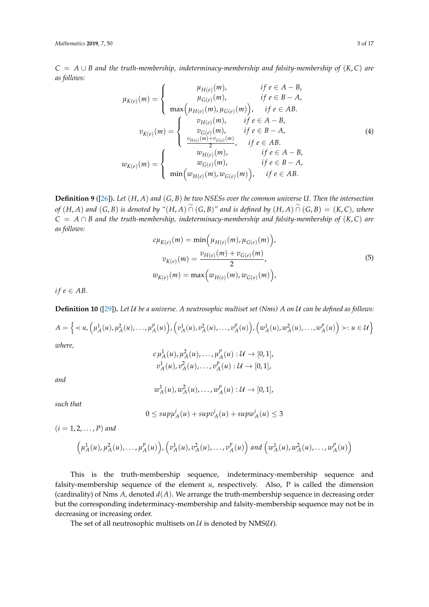*C* = *A* ∪ *B and the truth-membership, indeterminacy-membership and falsity-membership of* (*K*, *C*) *are as follows:*

$$
\mu_{K(e)}(m) = \begin{cases}\n\mu_{H(e)}(m), & \text{if } e \in A - B, \\
\mu_{G(e)}(m), & \text{if } e \in B - A, \\
\max(\mu_{H(e)}(m), \mu_{G(e)}(m)), & \text{if } e \in AB.\n\end{cases}
$$
\n
$$
v_{K(e)}(m) = \begin{cases}\nv_{H(e)}(m), & \text{if } e \in A - B, \\
v_{G(e)}(m), & \text{if } e \in A - B, \\
\frac{v_{H(e)}(m) + v_{G(e)}(m)}{2}, & \text{if } e \in B - A, \\
\frac{v_{H(e)}(m) + v_{G(e)}(m)}{2}, & \text{if } e \in A - B, \\
\frac{w_{H(e)}(m), & \text{if } e \in A - B, \\
\frac{w_{G(e)}(m),}{2}, & \text{if } e \in B - A, \\
\frac{w_{G(e)}(m),}{2}, & \text{if } e \in B - A.\n\end{cases}
$$
\n(4)

**Definition 9** ([\[26\]](#page-16-1))**.** *Let* (*H*, *A*) *and* (*G*, *B*) *be two NSESs over the common universe U. Then the intersection* of  $(H, A)$  and  $(G, B)$  is denoted by " $(H, A) \cap (G, B)$ " and is defined by  $(H, A) \cap (G, B) = (K, C)$ , where *C* = *A* ∩ *B and the truth-membership, indeterminacy-membership and falsity-membership of* (*K*, *C*) *are as follows:*

$$
c\mu_{K(e)}(m) = \min(\mu_{H(e)}(m), \mu_{G(e)}(m)),
$$
  
\n
$$
v_{K(e)}(m) = \frac{v_{H(e)}(m) + v_{G(e)}(m)}{2},
$$
  
\n
$$
w_{K(e)}(m) = \max(\nu_{H(e)}(m), \nu_{G(e)}(m)),
$$
\n(5)

*if*  $e \in AB$ .

**Definition 10** ([\[29\]](#page-16-4))**.** *Let* U *be a universe. A neutrosophic multiset set (Nms) A on* U *can be defined as follows:*

$$
A = \left\{ \prec u, \left( \mu_A^1(u), \mu_A^2(u), \ldots, \mu_A^p(u) \right), \left( v_A^1(u), v_A^2(u), \ldots, v_A^p(u) \right), \left( w_A^1(u), w_A^2(u), \ldots, w_A^p(u) \right) \succ : u \in \mathcal{U} \right\}
$$

*where,*

$$
c\,\mu_A^1(u), \mu_A^2(u), \ldots, \mu_A^p(u) : \mathcal{U} \to [0,1],
$$
  

$$
v_A^1(u), v_A^2(u), \ldots, v_A^p(u) : \mathcal{U} \to [0,1],
$$

*and*

$$
w_A^1(u), w_A^2(u), \ldots, w_A^p(u) : \mathcal{U} \to [0,1],
$$

*such that*

$$
0 \le \sup \mu_A^i(u) + \sup v_A^i(u) + \sup w_A^i(u) \le 3
$$

 $(i = 1, 2, ..., P)$  *and* 

$$
\left(\mu_A^1(u),\mu_A^2(u),\ldots,\mu_A^p(u)\right),\left(v_A^1(u),v_A^2(u),\ldots,v_A^p(u)\right) \text{ and } \left(w_A^1(u),w_A^2(u),\ldots,w_A^p(u)\right)
$$

This is the truth-membership sequence, indeterminacy-membership sequence and falsity-membership sequence of the element *u*, respectively. Also, P is called the dimension (cardinality) of Nms *A*, denoted *d*(*A*). We arrange the truth-membership sequence in decreasing order but the corresponding indeterminacy-membership and falsity-membership sequence may not be in decreasing or increasing order.

The set of all neutrosophic multisets on  $U$  is denoted by NMS( $U$ ).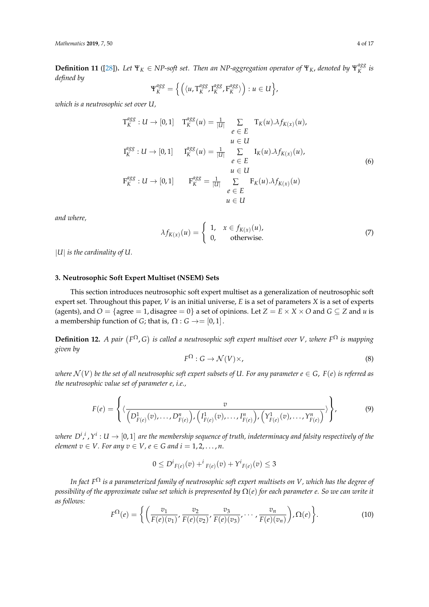**Definition 11** ([\[28\]](#page-16-3)). Let  $\Psi_K \in NP$ -soft set. Then an NP-aggregation operator of  $\Psi_K$ , denoted by  $\Psi_K^{agg}$ *K is defined by*

$$
\Psi_K^{agg} = \left\{ \left( \langle u, \mathsf{T}_K^{agg}, \mathsf{I}_K^{agg}, \mathsf{F}_K^{agg} \rangle \right) : u \in U \right\},\
$$

*which is a neutrosophic set over U,*

$$
T_K^{agg}: U \to [0,1] \quad T_K^{agg}(u) = \frac{1}{|U|} \sum_{e \in E} T_K(u) \Lambda f_{K(x)}(u),
$$
  
\n
$$
T_K^{agg}: U \to [0,1] \quad T_K^{agg}(u) = \frac{1}{|U|} \sum_{e \in E} I_K(u) \Lambda f_{K(x)}(u),
$$
  
\n
$$
T_K^{agg}: U \to [0,1] \quad T_K^{agg} = \frac{1}{|U|} \sum_{e \in E} F_K(u) \Lambda f_{K(x)}(u)
$$
  
\n
$$
T_K^{agg}: U \to [0,1] \quad T_K^{agg} = \frac{1}{|U|} \sum_{e \in E} F_K(u) \Lambda f_{K(x)}(u)
$$
  
\n
$$
u \in U
$$

*and where,*

$$
\lambda f_{K(x)}(u) = \begin{cases} 1, & x \in f_{K(x)}(u), \\ 0, & \text{otherwise.} \end{cases}
$$
 (7)

|*U*| *is the cardinality of U.*

### **3. Neutrosophic Soft Expert Multiset (NSEM) Sets**

This section introduces neutrosophic soft expert multiset as a generalization of neutrosophic soft expert set. Throughout this paper, *V* is an initial universe, *E* is a set of parameters *X* is a set of experts (agents), and  $O = \{$ agree = 1, disagree = 0 $\}$  a set of opinions. Let  $Z = E \times X \times O$  and  $G \subseteq Z$  and  $u$  is a membership function of *G*; that is,  $\Omega$  : *G*  $\rightarrow$  = [0, 1].

**Definition 12.** A pair  $(F^{\Omega}, G)$  is called a neutrosophic soft expert multiset over V, where  $F^{\Omega}$  is mapping *given by*

$$
F^{\Omega}: G \to \mathcal{N}(V) \times,
$$
\n(8)

*where*  $\mathcal{N}(V)$  *be the set of all neutrosophic soft expert subsets of U. For any parameter*  $e \in G$ ,  $F(e)$  *is referred as the neutrosophic value set of parameter e, i.e.,*

$$
F(e) = \left\{ \langle \frac{v}{\left(D_{F(e)}^1(v), \ldots, D_{F(e)}^n\right), \left(I_{F(e)}^1(v), \ldots, I_{F(e)}^n\right), \left(Y_{F(e)}^1(v), \ldots, Y_{F(e)}^n\right)} \rangle \right\},\tag{9}
$$

where  $D^i{}_{,i}$  ,  $Y^i:U\to[0,1]$  are the membership sequence of truth, indeterminacy and falsity respectively of the *element*  $v \in V$ *. For any*  $v \in V$ *,*  $e \in G$  *and*  $i = 1, 2, ..., n$ *.* 

$$
0 \le D^{i}{}_{F(e)}(v) + {}^{i}{}_{F(e)}(v) + Y^{i}{}_{F(e)}(v) \le 3
$$

*In fact F* <sup>Ω</sup> *is a parameterized family of neutrosophic soft expert multisets on V, which has the degree of possibility of the approximate value set which is prepresented by* Ω(*e*) *for each parameter e. So we can write it as follows:*

$$
F^{\Omega}(e) = \left\{ \left( \frac{v_1}{F(e)(v_1)} \cdot \frac{v_2}{F(e)(v_2)} \cdot \frac{v_3}{F(e)(v_3)} \cdot \cdots \cdot \frac{v_n}{F(e)(v_n)} \right), \Omega(e) \right\}.
$$
 (10)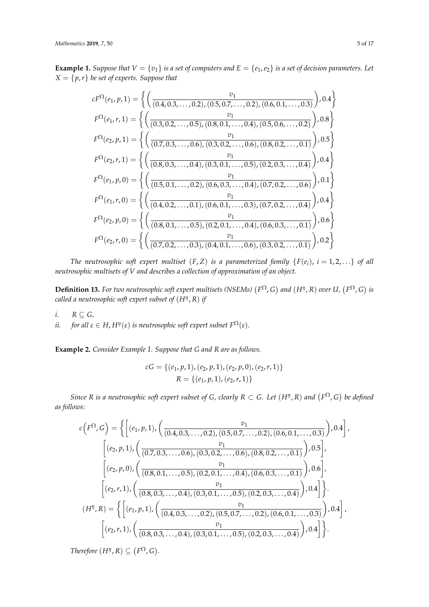**Example 1.** *Suppose that*  $V = \{v_1\}$  *is a set of computers and*  $E = \{e_1, e_2\}$  *is a set of decision parameters. Let*  $X = \{p, r\}$  *be set of experts. Suppose that* 

$$
cF^{\Omega}(e_1, p, 1) = \left\{ \left( \frac{v_1}{(0.4, 0.3, ..., 0.2), (0.5, 0.7, ..., 0.2), (0.6, 0.1, ..., 0.3)} \right), 0.4 \right\}
$$
  
\n
$$
F^{\Omega}(e_1, r, 1) = \left\{ \left( \frac{v_1}{(0.3, 0.2, ..., 0.5), (0.8, 0.1, ..., 0.4), (0.5, 0.6, ..., 0.2)} \right), 0.8 \right\}
$$
  
\n
$$
F^{\Omega}(e_2, p, 1) = \left\{ \left( \frac{v_1}{(0.7, 0.3, ..., 0.6), (0.3, 0.2, ..., 0.6), (0.8, 0.2, ..., 0.1)} \right), 0.5 \right\}
$$
  
\n
$$
F^{\Omega}(e_2, r, 1) = \left\{ \left( \frac{v_1}{(0.8, 0.3, ..., 0.4), (0.3, 0.1, ..., 0.5), (0.2, 0.3, ..., 0.4)} \right), 0.4 \right\}
$$
  
\n
$$
F^{\Omega}(e_1, p, 0) = \left\{ \left( \frac{v_1}{(0.5, 0.1, ..., 0.2), (0.6, 0.3, ..., 0.4), (0.7, 0.2, ..., 0.6)} \right), 0.1 \right\}
$$
  
\n
$$
F^{\Omega}(e_1, r, 0) = \left\{ \left( \frac{v_1}{(0.4, 0.2, ..., 0.1), (0.6, 0.1, ..., 0.3), (0.7, 0.2, ..., 0.4)} \right), 0.4 \right\}
$$
  
\n
$$
F^{\Omega}(e_2, p, 0) = \left\{ \left( \frac{v_1}{(0.8, 0.1, ..., 0.5), (0.2, 0.1, ..., 0.4), (0.6, 0.3, ..., 0.1)} \right), 0.6 \right\}
$$
  
\n
$$
F^{\Omega}(e_2, r, 0) = \left\{ \left( \frac{v_1}{(0.7, 0.2, ..., 0.3), (0.4, 0.1, ..., 0.6), (0.3
$$

*The neutrosophic soft expert multiset*  $(F, Z)$  *is a parameterized family*  $\{F(e_i), i = 1, 2, ...\}$  *of all neutrosophic multisets of V and describes a collection of approximation of an object.*

**Definition 13.** For two neutrosophic soft expert multisets (NSEMs)  $(F^{\Omega}, G)$  and  $(H^{\eta}, R)$  over U,  $(F^{\Omega}, G)$  is *called a neutrosophic soft expert subset of* (*H<sup>η</sup>* , *R*) *if*

*i.*  $R \subseteq G$ , *ii. for all*  $\varepsilon \in H$ ,  $H^{\eta}(\varepsilon)$  *is neutrosophic soft expert subset*  $F^{\Omega}(\varepsilon)$ *.* 

**Example 2.** *Consider Example 1. Suppose that G and R are as follows.*

$$
cG = \{(e_1, p, 1), (e_2, p, 1), (e_2, p, 0), (e_2, r, 1)\}\
$$

$$
R = \{(e_1, p, 1), (e_2, r, 1)\}\
$$

*Since R is a neutrosophic soft expert subset of G, clearly*  $R \subset G$ *. Let*  $(H^{\eta}, R)$  *and*  $(F^{\Omega}, G)$  *be defined as follows:*

$$
c(F^{\Omega}, G) = \left\{ \left[ (e_1, p, 1), \left( \frac{v_1}{(0.4, 0.3, \ldots, 0.2), (0.5, 0.7, \ldots, 0.2), (0.6, 0.1, \ldots, 0.3)} \right), 0.4 \right], \\ \left[ (e_2, p, 1), \left( \frac{v_1}{(0.7, 0.3, \ldots, 0.6), (0.3, 0.2, \ldots, 0.6), (0.8, 0.2, \ldots, 0.1)} \right), 0.5 \right], \\ \left[ (e_2, p, 0), \left( \frac{v_1}{(0.8, 0.1, \ldots, 0.5), (0.2, 0.1, \ldots, 0.4), (0.6, 0.3, \ldots, 0.1)} \right), 0.6 \right], \\ \left[ (e_2, r, 1), \left( \frac{v_1}{(0.8, 0.3, \ldots, 0.4), (0.3, 0.1, \ldots, 0.5), (0.2, 0.3, \ldots, 0.4)} \right), 0.4 \right] \right\}.
$$
  
\n
$$
(H^{\eta}, R) = \left\{ \left[ (e_1, p, 1), \left( \frac{v_1}{(0.4, 0.3, \ldots, 0.2), (0.5, 0.7, \ldots, 0.2), (0.6, 0.1, \ldots, 0.3)} \right), 0.4 \right], \\ \left[ (e_2, r, 1), \left( \frac{v_1}{(0.8, 0.3, \ldots, 0.4), (0.3, 0.1, \ldots, 0.5), (0.2, 0.3, \ldots, 0.4)} \right), 0.4 \right] \right\}.
$$

*Therefore*  $(H^{\eta}, R) \subseteq (F^{\Omega}, G)$ *.*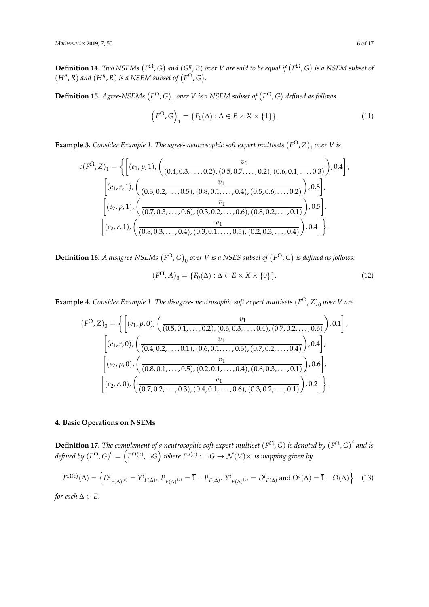**Definition 14.** *Two NSEMs*  $(F^{\Omega}, G)$  *and*  $(G^{\eta}, B)$  *over V* are said to be equal if  $(F^{\Omega}, G)$  is a NSEM subset of  $(H^{\eta}, R)$  *and*  $(H^{\eta}, R)$  *is a NSEM subset of*  $(F^{\Omega}, G)$ *.* 

**Definition 15.** Agree-NSEMs  $(F^{\Omega}, G)$ <sub>1</sub> over V is a NSEM subset of  $(F^{\Omega}, G)$  defined as follows.

$$
(F^{\Omega}, G)_1 = \{F_1(\Delta) : \Delta \in E \times X \times \{1\}\}.
$$
 (11)

**Example 3.** *Consider Example 1. The agree- neutrosophic soft expert multisets*  $(F^{\Omega}, Z)_1$  *over V is* 

$$
c(F^{\Omega}, Z)_1 = \left\{ \left[ (e_1, p, 1), \left( \frac{v_1}{(0.4, 0.3, \dots, 0.2), (0.5, 0.7, \dots, 0.2), (0.6, 0.1, \dots, 0.3)} \right), 0.4 \right], \\ \left[ (e_1, r, 1), \left( \frac{v_1}{(0.3, 0.2, \dots, 0.5), (0.8, 0.1, \dots, 0.4), (0.5, 0.6, \dots, 0.2)} \right), 0.8 \right], \\ \left[ (e_2, p, 1), \left( \frac{v_1}{(0.7, 0.3, \dots, 0.6), (0.3, 0.2, \dots, 0.6), (0.8, 0.2, \dots, 0.1)} \right), 0.5 \right], \\ \left[ (e_2, r, 1), \left( \frac{v_1}{(0.8, 0.3, \dots, 0.4), (0.3, 0.1, \dots, 0.5), (0.2, 0.3, \dots, 0.4)} \right), 0.4 \right] \right\}.
$$

**Definition 16.** A disagree-NSEMs  $(F^{\Omega}, G)_0$  over V is a NSES subset of  $(F^{\Omega}, G)$  is defined as follows:

$$
(F^{\Omega}, A)_0 = \{F_0(\Delta) : \Delta \in E \times X \times \{0\}\}.
$$
\n
$$
(12)
$$

**Example 4.** *Consider Example 1. The disagree- neutrosophic soft expert multisets*  $(F^{\Omega}, Z)_0$  *over V* are

$$
(F^{\Omega}, Z)_0 = \left\{ \left[ (e_1, p, 0), \left( \frac{v_1}{(0.5, 0.1, \dots, 0.2), (0.6, 0.3, \dots, 0.4), (0.7, 0.2, \dots, 0.6)}, 0.1 \right], \left[ (e_1, r, 0), \left( \frac{v_1}{(0.4, 0.2, \dots, 0.1), (0.6, 0.1, \dots, 0.3), (0.7, 0.2, \dots, 0.4)}, 0.4 \right], \left[ (e_2, p, 0), \left( \frac{v_1}{(0.8, 0.1, \dots, 0.5), (0.2, 0.1, \dots, 0.4), (0.6, 0.3, \dots, 0.1)}, 0.6 \right], \left[ (e_2, r, 0), \left( \frac{v_1}{(0.7, 0.2, \dots, 0.3), (0.4, 0.1, \dots, 0.6), (0.3, 0.2, \dots, 0.1)}, 0.2 \right] \right\}.
$$

## **4. Basic Operations on NSEMs**

**Definition 17.** The complement of a neutrosophic soft expert multiset  $(F^{\Omega}, G)$  is denoted by  $(F^{\Omega}, G)^c$  and is *defined by*  $(F^{\Omega}, G)^c = (F^{\Omega(c)}, \neg G)$  where  $F^{u(c)}: \neg G \to \mathcal{N}(V) \times$  is mapping given by

$$
F^{\Omega(c)}(\Delta) = \left\{ D^i_{F(\Delta)^{(c)}} = Y^i_{F(\Delta)}, \ I^i_{F(\Delta)^{(c)}} = \overline{1} - I^i_{F(\Delta)}, \ Y^i_{F(\Delta)^{(c)}} = D^i_{F(\Delta)} \text{ and } \Omega^c(\Delta) = \overline{1} - \Omega(\Delta) \right\}
$$
(13)

*for each*  $\Delta \in E$ .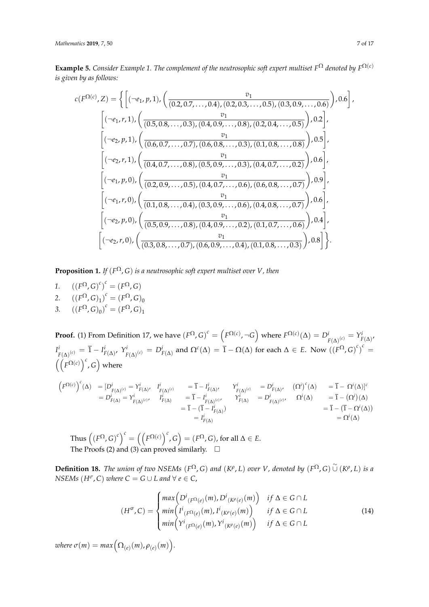**Example 5.** *Consider Example 1. The complement of the neutrosophic soft expert multiset*  $F^{\Omega}$  *denoted by*  $F^{\Omega(c)}$ *is given by as follows:*

$$
c(F^{\Omega(c)}, Z) = \left\{ \left[ (\neg e_1, p, 1), \left( \frac{v_1}{(0.2, 0.7, \dots, 0.4), (0.2, 0.3, \dots, 0.5), (0.3, 0.9, \dots, 0.6)}, 0.6 \right], \left[ \left( \neg e_1, r, 1 \right), \left( \frac{v_1}{(0.5, 0.8, \dots, 0.3), (0.4, 0.9, \dots, 0.8), (0.2, 0.4, \dots, 0.5)}, 0.2 \right], \left[ \left( \neg e_2, p, 1 \right), \left( \frac{v_1}{(0.6, 0.7, \dots, 0.7), (0.6, 0.8, \dots, 0.3), (0.1, 0.8, \dots, 0.8)}, 0.5 \right], \left[ \left( \neg e_2, r, 1 \right), \left( \frac{v_1}{(0.4, 0.7, \dots, 0.8), (0.5, 0.9, \dots, 0.3), (0.4, 0.7, \dots, 0.2)}, 0.6 \right], \left[ \left( \neg e_1, p, 0 \right), \left( \frac{v_1}{(0.2, 0.9, \dots, 0.5), (0.4, 0.7, \dots, 0.6), (0.6, 0.8, \dots, 0.7)}, 0.9 \right], \left[ \left( \neg e_1, r, 0 \right), \left( \frac{v_1}{(0.1, 0.8, \dots, 0.4), (0.3, 0.9, \dots, 0.6), (0.4, 0.8, \dots, 0.7)}, 0.6 \right], \left[ \left( \neg e_2, p, 0 \right), \left( \frac{v_1}{(0.5, 0.9, \dots, 0.8), (0.4, 0.9, \dots, 0.2), (0.1, 0.7, \dots, 0.6)}, 0.4 \right], \left[ \left( \neg e_2, r, 0 \right), \left( \frac{v_1}{(0.3, 0.8, \dots, 0.7), (0.6, 0.9, \dots, 0.4), (0.1, 0.8, \dots, 0.3)} \right), 0.8 \right] \right\}.
$$

**Proposition 1.** *If*  $(F^{\Omega}, G)$  *is a neutrosophic soft expert multiset over V, then* 

- *1.*  $((F^{\Omega}, G)^{c})^{c} = (F^{\Omega}, G)$ 2.  $((F^{\Omega}, G)_{1})^{c} = (F^{\Omega}, G)_{0}$
- 3.  $((F^{\Omega}, G)_{0})^{c} = (F^{\Omega}, G)_{1}$

**Proof.** (1) From Definition 17, we have  $(F^{\Omega}, G)^c = (F^{\Omega(c)}, \neg G)$  where  $F^{\Omega(c)}(\Delta) = D^i_{F(\Delta)^{(c)}} = Y^i_{F(\Delta)^c}$ *I i*  $F^i_{( \Delta )^{(c)}} = \overline{1} - I^i_{F(\Delta )}, \; Y^i_{\overline{F}}$  $F^{(i)}_{F(\Delta)^{(c)}} = D^i_{F(\Delta)}$  and  $\Omega^c(\Delta) = \overline{1} - \Omega(\Delta)$  for each  $\Delta \in E$ . Now  $((F^{\Omega}, G)^c)^c =$  $\left(\left(\overline{F}^{\Omega(c)}\right)^c, G\right)$  where

$$
\begin{array}{rcl}\left(F^{\Omega(c)}\right)^c(\Delta)&=&[D^i_{F(\Delta)^{(c)}}=Y^i_{F(\Delta)} ,\quad I^i_{F(\Delta)^{(c)}}&=&\overline{1}-I^i_{F(\Delta)} ,\qquad Y^i_{F(\Delta)^{(c)}}&=&D^i_{F(\Delta)} ,\qquad \left(\Omega^i\right)^c(\Delta)\\ &=&D^i_{F(\Delta)}=Y^i_{F(\Delta)^{(c)}},\qquad I^i_{F(\Delta)}&=&\overline{1}-I^i_{F(\Delta)^{(c)}},\qquad Y^i_{F(\Delta)}&=&D^i_{F(\Delta)^{(c)}},\qquad \Omega^i(\Delta)\\ &=&\overline{1}-(\overline{1}-I^i_{F(\Delta)})\\ &=&\overline{1}-(\overline{1}-I^i_{F(\Delta)})\\ &=&I^i_{F(\Delta)}\\ \end{array}
$$

Thus  $((F^{\Omega}, G)^c)^c = ((F^{\Omega(c)})^c, G) = (F^{\Omega}, G)$ , for all  $\Delta \in E$ . The Proofs (2) and (3) can proved similarly.  $\Box$ 

**Definition 18.** *The union of two NSEMs*  $(F^{\Omega}, G)$  *and*  $(K^{\rho}, L)$  *over V*, *denoted by*  $(F^{\Omega}, G) \cup (K^{\rho}, L)$  *is a NSEMs*  $(H^{\sigma}, C)$  *where*  $C = G \cup L$  *and*  $\forall e \in C$ ,

$$
(H^{\sigma}, C) = \begin{cases} \max\left(D^{i}_{(F^{\Omega}(e)}(m), D^{i}_{(K^{\rho}(e)}(m))\right) & \text{if } \Delta \in G \cap L \\ \min\left(I^{i}_{(F^{\Omega}(e)}(m), I^{i}_{(K^{\rho}(e)}(m))\right) & \text{if } \Delta \in G \cap L \\ \min\left(Y^{i}_{(F^{\Omega}(e)}(m), Y^{i}_{(K^{\rho}(e)}(m))\right) & \text{if } \Delta \in G \cap L \end{cases}
$$
\n(14)

 $where \space \sigma(m) = max \Big( \Omega_{(e)}(m), \rho_{(e)}(m) \Big).$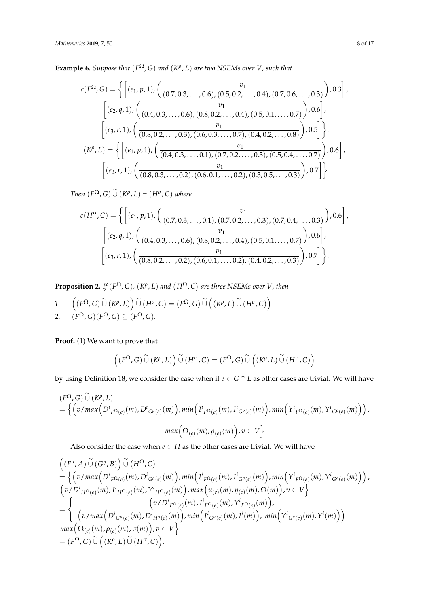**Example 6.** *Suppose that*  $(F^{\Omega}, G)$  *and*  $(K^{\rho}, L)$  *are two NSEMs over V*, *such that* 

$$
c(F^{\Omega}, G) = \left\{ \left[ (e_1, p, 1), \left( \frac{v_1}{(0.7, 0.3, \dots, 0.6), (0.5, 0.2, \dots, 0.4), (0.7, 0.6, \dots, 0.3)} \right), 0.3 \right], \\ \left[ (e_2, q, 1), \left( \frac{v_1}{(0.4, 0.3, \dots, 0.6), (0.8, 0.2, \dots, 0.4), (0.5, 0.1, \dots, 0.7)} \right), 0.6 \right], \\ \left[ (e_3, r, 1), \left( \frac{v_1}{(0.8, 0.2, \dots, 0.3), (0.6, 0.3, \dots, 0.7), (0.4, 0.2, \dots, 0.8)} \right), 0.5 \right] \right\}.
$$

$$
(K^{\rho}, L) = \left\{ \left[ (e_1, p, 1), \left( \frac{v_1}{(0.4, 0.3, \dots, 0.1), (0.7, 0.2, \dots, 0.3), (0.5, 0.4, \dots, 0.7)} \right), 0.6 \right], \\ \left[ (e_3, r, 1), \left( \frac{v_1}{(0.8, 0.3, \dots, 0.2), (0.6, 0.1, \dots, 0.2), (0.3, 0.5, \dots, 0.3)} \right), 0.7 \right] \right\}
$$

 $Then (F^{\Omega}, G) \cup (K^{\rho}, L) = (H^{\sigma}, C)$  *where* 

$$
c(H^{\sigma}, C) = \left\{ \left[ (e_1, p, 1), \left( \frac{v_1}{(0.7, 0.3, \dots, 0.1), (0.7, 0.2, \dots, 0.3), (0.7, 0.4, \dots, 0.3)} \right), 0.6 \right], \\ \left[ (e_2, q, 1), \left( \frac{v_1}{(0.4, 0.3, \dots, 0.6), (0.8, 0.2, \dots, 0.4), (0.5, 0.1, \dots, 0.7)} \right), 0.6 \right], \\ \left[ (e_3, r, 1), \left( \frac{v_1}{(0.8, 0.2, \dots, 0.2), (0.6, 0.1, \dots, 0.2), (0.4, 0.2, \dots, 0.3)} \right), 0.7 \right] \right\}.
$$

**Proposition 2.** *If*  $(F^{\Omega}, G)$ ,  $(K^{\rho}, L)$  *and*  $(H^{\Omega}, C)$  *are three NSEMs over V*, *then* 

1. 
$$
\left((F^{\Omega}, G) \overset{\sim}{\cup} (K^{\rho}, L)\right) \overset{\sim}{\cup} (H^{\sigma}, C) = (F^{\Omega}, G) \overset{\sim}{\cup} \left((K^{\rho}, L) \overset{\sim}{\cup} (H^{\sigma}, C)\right)
$$
  
2. 
$$
(F^{\Omega}, G)(F^{\Omega}, G) \subseteq (F^{\Omega}, G).
$$

**Proof.** (1) We want to prove that

$$
\left(\left(F^{\Omega},G\right)\overset{\sim}{\cup}\left(K^{\rho},L\right)\right)\overset{\sim}{\cup}\left(H^{\sigma},C\right)=\left(F^{\Omega},G\right)\overset{\sim}{\cup}\left(\left(K^{\rho},L\right)\overset{\sim}{\cup}\left(H^{\sigma},C\right)\right)
$$

by using Definition 18, we consider the case when if  $e \in G \cap L$  as other cases are trivial. We will have

$$
\begin{aligned} &\left(F^{\Omega},G\right)\overset{\sim}{\cup}\left(K^{\rho},L\right)\\ &=\Big\{\Big(v/\max\Big(D^{i}{}_{F^{\Omega}(e)}(m),D^{i}{}_{G^{\rho}(e)}(m)\Big),\min\Big(I^{i}{}_{F^{\Omega}(e)}(m),I^{i}{}_{G^{\rho}(e)}(m)\Big),\min\Big(Y^{i}{}_{F^{\Omega}(e)}(m),Y^{i}{}_{G^{\rho}(e)}(m)\Big)\Big),\\ &\max\Big(\Omega_{(e)}(m),\rho_{(e)}(m)\Big),v\in V\Big\} \end{aligned}
$$

Also consider the case when  $e \in H$  as the other cases are trivial. We will have

$$
\begin{split}\n&\left((F^u,A)\ \widetilde{\cup}\ (G^\eta,B)\right)\ \widetilde{\cup}\ (H^\Omega,C) \\
&=\ \left\{\left(v/\max\left(D^i{}_{F^\Omega(e)}(m),D^i{}_{G^\rho(e)}(m)\right),\min\left(I^i{}_{F^\Omega(e)}(m),I^i{}_{G^\rho(e)}(m)\right),\min\left(Y^i{}_{F^\Omega(e)}(m),Y^i{}_{G^\rho(e)}(m)\right)\right),\right. \\
&\left(v/D^i{}_{H^\Omega(e)}(m),I^i{}_{H^\Omega(e)}(m),Y^i{}_{H^\Omega(e)}(m)\right),\max\left(u_{(e)}(m),\eta_{(e)}(m),\Omega(m)\right),v\in V\right\} \\
&=\ \left\{\begin{array}{c} \left(v/D^i{}_{F^\Omega(e)}(m),I^i{}_{F^\Omega(e)}(m),I^i{}_{F^\Omega(e)}(m),Y^i{}_{F^\Omega(e)}(m)\right),\\ \left(v/\max\left(D^i{}_{G^u(e)}(m),D^i{}_{H^\eta(e)}(m)\right),\min\left(I^i{}_{G^u(e)}(m),I^i(m)\right),\min\left(Y^i{}_{G^u(e)}(m),Y^i(m)\right)\right)\\ \max\left(\Omega_{(e)}(m),\rho_{(e)}(m),\sigma(m)\right),v\in V\right\} \\
&=\ (F^\Omega,G)\ \widetilde{\cup}\ \left((K^\rho,L)\ \widetilde{\cup}\ (H^\sigma,C)\right).\n\end{array}\n\right\}\n\end{split}
$$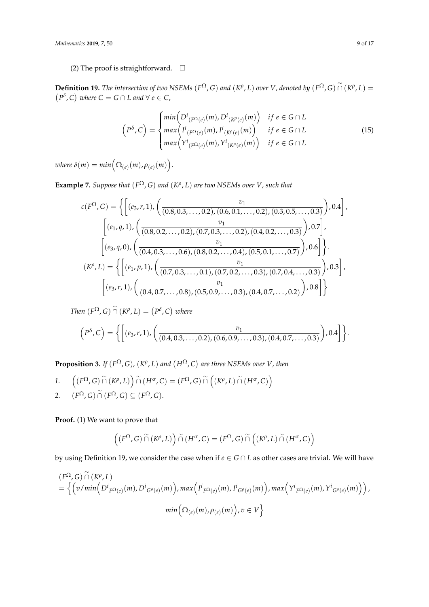(2) The proof is straightforward.  $\square$ 

**Definition 19.** The intersection of two NSEMs ( $F^{\Omega}$ , G) and ( $K^{\rho}$ , L) over *V*, denoted by ( $F^{\Omega}$ , G)  $\stackrel{\sim}{\cap}$  ( $K^{\rho}$ , L) =  $(P^{\delta}, C)$  where  $C = G \cap L$  and  $\forall e \in C$ ,

$$
\left(P^{\delta}, C\right) = \begin{cases} \min\left(D^{i}_{(F^{\Omega}(e)}(m), D^{i}_{(K^{\rho}(e)}(m))\right) & \text{if } e \in G \cap L \\ \max\left(I^{i}_{(F^{\Omega}(e)}(m), I^{i}_{(K^{\rho}(e)}(m))\right) & \text{if } e \in G \cap L \\ \max\left(Y^{i}_{(F^{\Omega}(e)}(m), Y^{i}_{(K^{\rho}(e)}(m))\right) & \text{if } e \in G \cap L \end{cases} \tag{15}
$$

 $where \ \delta(m) = min\Big(\Omega_{(e)}(m), \rho_{(e)}(m)\Big).$ 

**Example 7.** *Suppose that*  $(F^{\Omega}, G)$  *and*  $(K^{\rho}, L)$  *are two NSEMs over V*, *such that* 

$$
c(F^{\Omega}, G) = \left\{ \left[ (e_3, r, 1), \left( \frac{v_1}{(0.8, 0.3, \dots, 0.2), (0.6, 0.1, \dots, 0.2), (0.3, 0.5, \dots, 0.3)} \right), 0.4 \right], \\ \left[ (e_1, q, 1), \left( \frac{v_1}{(0.8, 0.2, \dots, 0.2), (0.7, 0.3, \dots, 0.2), (0.4, 0.2, \dots, 0.3)} \right), 0.7 \right], \\ \left[ (e_3, q, 0), \left( \frac{v_1}{(0.4, 0.3, \dots, 0.6), (0.8, 0.2, \dots, 0.4), (0.5, 0.1, \dots, 0.7)} \right), 0.6 \right] \right\}.
$$

$$
(K^{\rho}, L) = \left\{ \left[ (e_1, p, 1), \left( \frac{v_1}{(0.7, 0.3, \dots, 0.1), (0.7, 0.2, \dots, 0.3), (0.7, 0.4, \dots, 0.3)} \right), 0.3 \right], \\ \left[ (e_3, r, 1), \left( \frac{v_1}{(0.4, 0.7, \dots, 0.8), (0.5, 0.9, \dots, 0.3), (0.4, 0.7, \dots, 0.2)} \right), 0.8 \right] \right\}
$$

*Then*  $(F^{\Omega}, G) \cap (K^{\rho}, L) = (P^{\delta}, C)$  where

$$
(P^{\delta}, C) = \left\{ \left[ (e_3, r, 1), \left( \frac{v_1}{(0.4, 0.3, \ldots, 0.2), (0.6, 0.9, \ldots, 0.3), (0.4, 0.7, \ldots, 0.3)} \right), 0.4 \right] \right\}.
$$

**Proposition 3.** *If*  $(F^{\Omega}, G)$ ,  $(K^{\rho}, L)$  and  $(H^{\Omega}, C)$  are three NSEMs over V, then

1. 
$$
\left((F^{\Omega}, G) \stackrel{\sim}{\cap} (K^{\rho}, L)\right) \stackrel{\sim}{\cap} (H^{\sigma}, C) = (F^{\Omega}, G) \stackrel{\sim}{\cap} \left((K^{\rho}, L) \stackrel{\sim}{\cap} (H^{\sigma}, C)\right)
$$
  
2. 
$$
(F^{\Omega}, G) \stackrel{\sim}{\cap} (F^{\Omega}, G) \subseteq (F^{\Omega}, G).
$$

**Proof.** (1) We want to prove that

$$
\left((F^{\Omega}, G) \overset{\sim}{\cap} (K^{\rho}, L)\right) \overset{\sim}{\cap} (H^{\sigma}, C) = (F^{\Omega}, G) \overset{\sim}{\cap} \left((K^{\rho}, L) \overset{\sim}{\cap} (H^{\sigma}, C)\right)
$$

by using Definition 19, we consider the case when if *e* ∈ *G* ∩ *L* as other cases are trivial. We will have

$$
\begin{aligned} (F^{\Omega}, G) \overset{\sim}{\cap} (K^{\rho}, L) \\ &= \left\{ \left( v / \min \left( D^{i}{}_{F^{\Omega}(e)}(m), D^{i}{}_{G^{\rho}(e)}(m) \right), \max \left( I^{i}{}_{F^{\Omega}(e)}(m), I^{i}{}_{G^{\rho}(e)}(m) \right), \max \left( Y^{i}{}_{F^{\Omega}(e)}(m), Y^{i}{}_{G^{\rho}(e)}(m) \right) \right), \right. \\ &\left. \min \left( \Omega_{(e)}(m), \rho_{(e)}(m) \right), v \in V \right\} \end{aligned}
$$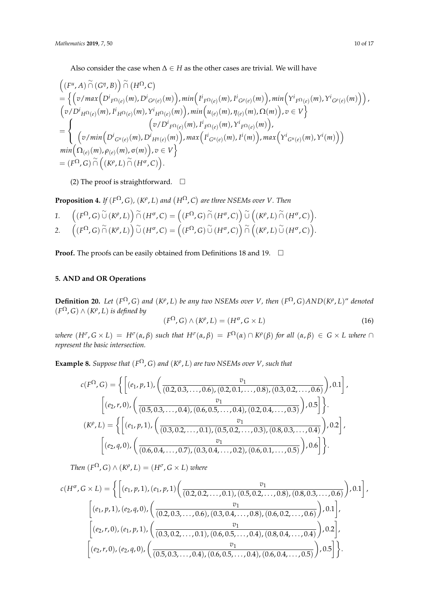Also consider the case when ∆ ∈ *H* as the other cases are trivial. We will have

$$
\begin{split}\n&\left((F^u,A)\cap (G^\eta,B)\right)\cap (H^\Omega,C) \\
&=\left\{\left(v/\max\left(D^i_{F^\Omega(e)}(m),D^i_{G^\rho(e)}(m)\right),\min\left(I^i_{F^\Omega(e)}(m),I^i_{G^\rho(e)}(m)\right),\min\left(Y^i_{F^\Omega(e)}(m),Y^i_{G^\rho(e)}(m)\right)\right), \\
&(v/D^i_{H^\Omega(e)}(m),I^i_{H^\Omega(e)}(m),Y^i_{H^\Omega(e)}(m)\right),\min\left(u_{(e)}(m),\eta_{(e)}(m),\Omega(m)\right),v\in V\right\} \\
&=\left\{\n\quad\n\begin{array}{c}\n(v/\min\left(D^i_{G^u(e)}(m),D^i_{H^{\eta}(e)}(m)\right),\min\left(I^i_{G^u(e)}(m),Y^i_{F^\Omega(e)}(m)\right), \\
(v/\min\left(D^i_{G^u(e)}(m),D^i_{H^{\eta}(e)}(m)\right),\max\left(I^i_{G^u(e)}(m),I^i(m)\right),\max\left(Y^i_{G^u(e)}(m),Y^i(m)\right)\right)\n\end{array}\n\right) \\
&\min\left(\Omega_{(e)}(m),\rho_{(e)}(m),\sigma(m)\right),v\in V\right\} \\
&=\left(F^\Omega,G)\cap\left((K^\rho,L)\cap(H^\sigma,C)\right).\n\end{split}
$$

(2) The proof is straightforward.  $\square$ 

**Proposition 4.** *If*  $(F^{\Omega}, G)$ ,  $(K^{\rho}, L)$  *and*  $(H^{\Omega}, C)$  *are three NSEMs over V. Then* 

1. 
$$
\left((F^{\Omega}, G) \overset{\sim}{\cup} (K^{\rho}, L)\right) \overset{\sim}{\cap} (H^{\sigma}, C) = \left((F^{\Omega}, G) \overset{\sim}{\cap} (H^{\sigma}, C)\right) \overset{\sim}{\cup} \left((K^{\rho}, L) \overset{\sim}{\cap} (H^{\sigma}, C)\right).
$$
\n2. 
$$
\left((F^{\Omega}, G) \overset{\sim}{\cap} (K^{\rho}, L)\right) \overset{\sim}{\cup} (H^{\sigma}, C) = \left((F^{\Omega}, G) \overset{\sim}{\cup} (H^{\sigma}, C)\right) \overset{\sim}{\cap} \left((K^{\rho}, L) \overset{\sim}{\cup} (H^{\sigma}, C)\right).
$$

**Proof.** The proofs can be easily obtained from Definitions 18 and 19.  $\Box$ 

# **5. AND and OR Operations**

**Definition 20.** Let  $(F^{\Omega}, G)$  and  $(K^{\rho}, L)$  be any two NSEMs over *V*, then  $(F^{\Omega}, G)AND(K^{\rho}, L)$ " denoted  $(F^{\Omega}, G) \wedge (K^{\rho}, L)$  *is defined by* 

$$
(F^{\Omega}, G) \wedge (K^{\rho}, L) = (H^{\sigma}, G \times L)
$$
\n(16)

where  $(H^{\sigma}, G \times L) = H^{\sigma}(\alpha, \beta)$  such that  $H^{\sigma}(\alpha, \beta) = F^{\Omega}(\alpha) \cap K^{\rho}(\beta)$  for all  $(\alpha, \beta) \in G \times L$  where  $\cap$ *represent the basic intersection.*

**Example 8.** *Suppose that*  $(F^{\Omega}, G)$  *and*  $(K^{\rho}, L)$  *are two NSEMs over V*, *such that* 

$$
c(F^{\Omega}, G) = \left\{ \left[ (e_1, p, 1), \left( \frac{v_1}{(0.2, 0.3, \dots, 0.6), (0.2, 0.1, \dots, 0.8), (0.3, 0.2, \dots, 0.6)} \right), 0.1 \right], \\ \left[ (e_2, r, 0), \left( \frac{v_1}{(0.5, 0.3, \dots, 0.4), (0.6, 0.5, \dots, 0.4), (0.2, 0.4, \dots, 0.3)}, 0.5 \right] \right\}.
$$

$$
(K^{\rho}, L) = \left\{ \left[ (e_1, p, 1), \left( \frac{v_1}{(0.3, 0.2, \dots, 0.1), (0.5, 0.2, \dots, 0.3), (0.8, 0.3, \dots, 0.4)}, 0.2 \right], \\ \left[ (e_2, q, 0), \left( \frac{v_1}{(0.6, 0.4, \dots, 0.7), (0.3, 0.4, \dots, 0.2), (0.6, 0.1, \dots, 0.5)}, 0.6 \right] \right\}.
$$

*Then*  $(F^{\Omega}, G) \wedge (K^{\rho}, L) = (H^{\sigma}, G \times L)$  *where* 

$$
c(H^{\sigma}, G \times L) = \left\{ \left[ (e_1, p, 1), (e_1, p, 1) \left( \frac{v_1}{(0.2, 0.2, \dots, 0.1), (0.5, 0.2, \dots, 0.8), (0.8, 0.3, \dots, 0.6)} \right), 0.1 \right], \\ \left[ (e_1, p, 1), (e_2, q, 0), \left( \frac{v_1}{(0.2, 0.3, \dots, 0.6), (0.3, 0.4, \dots, 0.8), (0.6, 0.2, \dots, 0.6)} \right), 0.1 \right], \\ \left[ (e_2, r, 0), (e_1, p, 1), \left( \frac{v_1}{(0.3, 0.2, \dots, 0.1), (0.6, 0.5, \dots, 0.4), (0.8, 0.4, \dots, 0.4)} \right), 0.2 \right], \\ \left[ (e_2, r, 0), (e_2, q, 0), \left( \frac{v_1}{(0.5, 0.3, \dots, 0.4), (0.6, 0.5, \dots, 0.4), (0.6, 0.4, \dots, 0.5)} \right), 0.5 \right] \right\}.
$$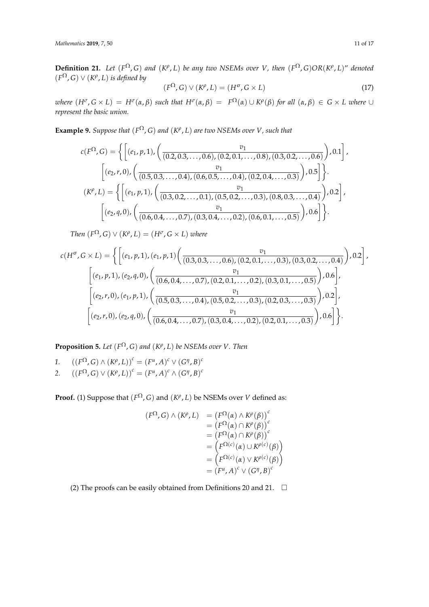**Definition 21.** Let  $(F^{\Omega}, G)$  and  $(K^{\rho}, L)$  be any two NSEMs over V, then  $(F^{\Omega}, G)OR(K^{\rho}, L)$ " denoted  $(F^{\Omega}, G) \vee (K^{\rho}, L)$  *is defined by* 

$$
(F^{\Omega}, G) \vee (K^{\rho}, L) = (H^{\sigma}, G \times L)
$$
\n(17)

where  $(H^{\sigma}, G \times L) = H^{\sigma}(\alpha, \beta)$  such that  $H^{\sigma}(\alpha, \beta) = F^{\Omega}(\alpha) \cup K^{\rho}(\beta)$  for all  $(\alpha, \beta) \in G \times L$  where  $\cup$ *represent the basic union.*

**Example 9.** *Suppose that*  $(F^{\Omega}, G)$  *and*  $(K^{\rho}, L)$  *are two NSEMs over V*, *such that* 

$$
c(F^{\Omega}, G) = \left\{ \left[ (e_1, p, 1), \left( \frac{v_1}{(0.2, 0.3, \dots, 0.6), (0.2, 0.1, \dots, 0.8), (0.3, 0.2, \dots, 0.6)} \right), 0.1 \right], \\ \left[ (e_2, r, 0), \left( \frac{v_1}{(0.5, 0.3, \dots, 0.4), (0.6, 0.5, \dots, 0.4), (0.2, 0.4, \dots, 0.3)} \right), 0.5 \right] \right\}.
$$

$$
(K^{\rho}, L) = \left\{ \left[ (e_1, p, 1), \left( \frac{v_1}{(0.3, 0.2, \dots, 0.1), (0.5, 0.2, \dots, 0.3), (0.8, 0.3, \dots, 0.4)} \right), 0.2 \right], \\ \left[ (e_2, q, 0), \left( \frac{v_1}{(0.6, 0.4, \dots, 0.7), (0.3, 0.4, \dots, 0.2), (0.6, 0.1, \dots, 0.5)} \right), 0.6 \right] \right\}.
$$

*Then*  $(F^{\Omega}, G) \vee (K^{\rho}, L) = (H^{\sigma}, G \times L)$  *where* 

$$
c(H^{\sigma}, G \times L) = \left\{ \left[ (e_1, p, 1), (e_1, p, 1) \left( \frac{v_1}{(0.3, 0.3, \dots, 0.6), (0.2, 0.1, \dots, 0.3), (0.3, 0.2, \dots, 0.4)} \right), 0.2 \right], \\ \left[ (e_1, p, 1), (e_2, q, 0), \left( \frac{v_1}{(0.6, 0.4, \dots, 0.7), (0.2, 0.1, \dots, 0.2), (0.3, 0.1, \dots, 0.5)} \right), 0.6 \right], \\ \left[ (e_2, r, 0), (e_1, p, 1), \left( \frac{v_1}{(0.5, 0.3, \dots, 0.4), (0.5, 0.2, \dots, 0.3), (0.2, 0.3, \dots, 0.3)} \right), 0.2 \right], \\ \left[ (e_2, r, 0), (e_2, q, 0), \left( \frac{v_1}{(0.6, 0.4, \dots, 0.7), (0.3, 0.4, \dots, 0.2), (0.2, 0.1, \dots, 0.3)} \right), 0.6 \right] \right\}.
$$

**Proposition 5.** Let  $(F^{\Omega}, G)$  and  $(K^{\rho}, L)$  be NSEMs over V. Then

*1.*  $((F^{\Omega}, G) \wedge (K^{\rho}, L))^c = (F^{\mu}, A)^c \vee (G^{\eta}, B)^c$ 2.  $((F^{\Omega}, G) \vee (K^{\rho}, L))^c = (F^{\mu}, A)^c \wedge (G^{\eta}, B)^c$ 

**Proof.** (1) Suppose that  $(F^{\Omega}, G)$  and  $(K^{\rho}, L)$  be NSEMs over *V* defined as:

$$
(F^{\Omega}, G) \wedge (K^{\rho}, L) = (F^{\Omega}(\alpha) \wedge K^{\rho}(\beta))^c
$$
  
\n
$$
= (F^{\Omega}(\alpha) \cap K^{\rho}(\beta))^c
$$
  
\n
$$
= (F^{\Omega}(\alpha) \cap K^{\rho}(\beta))^c
$$
  
\n
$$
= (F^{\Omega(c)}(\alpha) \cup K^{\rho(c)}(\beta))
$$
  
\n
$$
= (F^{\Omega(c)}(\alpha) \vee K^{\rho(c)}(\beta))
$$
  
\n
$$
= (F^{\mu}, A)^c \vee (G^{\eta}, B)^c
$$

(2) The proofs can be easily obtained from Definitions 20 and 21.  $\Box$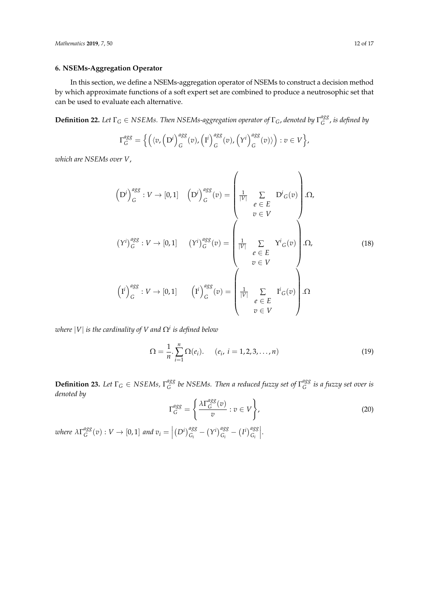## **6. NSEMs-Aggregation Operator**

In this section, we define a NSEMs-aggregation operator of NSEMs to construct a decision method by which approximate functions of a soft expert set are combined to produce a neutrosophic set that can be used to evaluate each alternative.

**Definition 22.** Let  $\Gamma_G \in NSEMs$ . Then NSEMs-aggregation operator of  $\Gamma_G$ , denoted by  $\Gamma_G^{agg}$ *G* , *is defined by*

$$
\Gamma_G^{agg} = \left\{ \left( \langle v, \left( D^i \right)_{G}^{agg}(v), \left( I^i \right)_{G}^{agg}(v), \left( Y^i \right)_{G}^{agg}(v) \rangle \right) : v \in V \right\},\
$$

*which are NSEMs over V*,

$$
\left(D^{i}\right)_{G}^{agg}: V \to [0,1] \quad \left(D^{i}\right)_{G}^{agg}(v) = \begin{pmatrix} \frac{1}{|V|} & \sum_{e \in E} D^{i}_{G}(v) \\ v \in V \end{pmatrix}.\Omega,
$$
\n
$$
\left(Y^{i}\right)_{G}^{agg}: V \to [0,1] \quad \left(Y^{i}\right)_{G}^{agg}(v) = \begin{pmatrix} \frac{1}{|V|} & \sum_{e \in E} Y^{i}_{G}(v) \\ v \in V \end{pmatrix}.\Omega,
$$
\n
$$
\left(I^{i}\right)_{G}^{agg}: V \to [0,1] \quad \left(I^{i}\right)_{G}^{agg}(v) = \begin{pmatrix} \frac{1}{|V|} & \sum_{e \in E} I^{i}_{G}(v) \\ v \in V \end{pmatrix}.\Omega
$$
\n
$$
\left(I^{i}\right)_{G}^{agg}: V \to [0,1] \quad \left(I^{i}\right)_{G}^{agg}(v) = \begin{pmatrix} \frac{1}{|V|} & \sum_{e \in E} I^{i}_{G}(v) \\ v \in V \end{pmatrix}.\Omega
$$
\n
$$
(18)
$$

*where* |*V*| *is the cardinality of V and* Ω*<sup>i</sup> is defined below*

$$
\Omega = \frac{1}{n} \sum_{i=1}^{n} \Omega(e_i). \qquad (e_i, i = 1, 2, 3, ..., n)
$$
 (19)

**Definition 23.** *Let*  $\Gamma_G \in \text{NSEMs}$ ,  $\Gamma_G^{agg}$ *G be NSEMs. Then a reduced fuzzy set of* Γ *agg G is a fuzzy set over is denoted by*

$$
\Gamma_G^{agg} = \left\{ \frac{\lambda \Gamma_G^{agg}(v)}{v} : v \in V \right\},\tag{20}
$$

*where λ*Γ *agg*  $\int_G^{agg}(v) : V \to [0,1]$  and  $v_i =$  $(D^i)_{G_i}^{agg} - (Y^i)_{G_i}^{agg} - (I^i)_{G_i}^{agg}$   .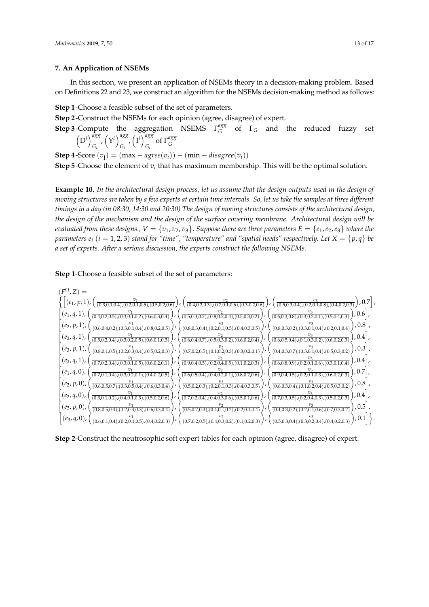## **7. An Application of NSEMs**

In this section, we present an application of NSEMs theory in a decision-making problem. Based on Definitions 22 and 23, we construct an algorithm for the NSEMs decision-making method as follows:

**Step 1**-Choose a feasible subset of the set of parameters.

**Step 2**-Construct the NSEMs for each opinion (agree, disagree) of expert.

**Step 3**-Compute the aggregation NSEMS  $\Gamma_G^{agg}$  $G_G^{\text{avg}}$  of  $\Gamma_G$  and the reduced fuzzy set  $(D^i)^{agg}$  $\binom{agg}{G_i}$ ,  $\left(\mathbf{Y}^i\right)_{G_i}^{agg}$ agg<sub>*,*</sub>  $(I^i)_{G_i}^{agg}$  $\int_{G_i}^{ugg}$  of  $\Gamma_G^{agg}$ *G*

**Step 4**-Score  $(v_i) = (\max - \textit{agree}(v_i)) - (\min - \textit{disagree}(v_i))$ 

**Step 5**-Choose the element of  $v_i$  that has maximum membership. This will be the optimal solution.

**Example 10.** *In the architectural design process, let us assume that the design outputs used in the design of moving structures are taken by a few experts at certain time intervals. So, let us take the samples at three different timings in a day (in 08:30, 14:30 and 20:30) The design of moving structures consists of the architectural design, the design of the mechanism and the design of the surface covering membrane. Architectural design will be evaluated from these designs.,*  $V = \{v_1, v_2, v_3\}$ . *Suppose there are three parameters*  $E = \{e_1, e_2, e_3\}$  *where the parameters*  $e_i$  ( $i = 1, 2, 3$ ) *stand for "time", "temperature" and "spatial needs" respectively. Let*  $X = \{p, q\}$  *be a set of experts. After a serious discussion, the experts construct the following NSEMs.*

**Step 1**-Choose a feasible subset of the set of parameters:



**Step 2**-Construct the neutrosophic soft expert tables for each opinion (agree, disagree) of expert.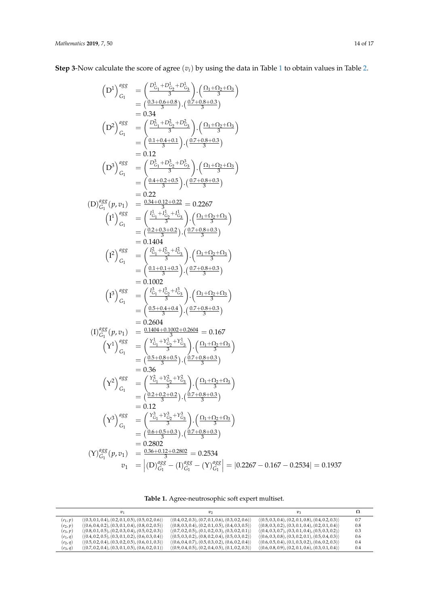**Step 3**-Now calculate the score of agree (*vi*) by using the data in Table [1](#page-13-0) to obtain values in Table [2.](#page-14-0)

$$
(D^1)^{asg}_{G_1} = \left(\frac{D^1_{G_1} + D^1_{G_2} + D^1_{G_3}}{3}\right) \cdot \left(\frac{(D_1 + D_2 + D_3)}{3}\right)
$$
  
\n
$$
= (0.34)
$$
  
\n
$$
(D^2)^{asg}_{G_1} = \left(\frac{D^2_{G_1} + D^2_{G_2} + D^2_{G_3}}{3}\right) \cdot \left(\frac{(D_1 + D_2 + D_3)}{3}\right)
$$
  
\n
$$
= 0.12
$$
  
\n
$$
(D^3)^{asg}_{G_1} = \left(\frac{D^2_{G_1} + D^2_{G_2} + D^2_{G_3}}{3}\right) \cdot \left(\frac{(D_1 + D_2 + D_3)}{3}\right)
$$
  
\n
$$
= 0.12
$$
  
\n
$$
(D^3)^{asg}_{G_1} = \left(\frac{D^2_{G_1} + D^2_{G_2} + D^2_{G_3}}{3}\right) \cdot \left(\frac{(D_1 + D_2 + D_3)}{3}\right)
$$
  
\n
$$
= 0.2267
$$
  
\n
$$
(I^1)^{asg}_{G_1} = \left(\frac{(D_1 + D_2 + D_3)}{3}\right) \cdot \left(\frac{(D_1 + D_2 + D_3)}{3}\right)
$$
  
\n
$$
= 0.24 + 0.2 + 0.2 = 0.2267
$$
  
\n
$$
(I^2)^{asg}_{G_1} = \left(\frac{I^1_{G_1} + I^2_{G_2} + I^2_{G_3}}{3}\right) \cdot \left(\frac{(D_1 + D_2 + D_3)}{3}\right)
$$
  
\n
$$
= \left(\frac{(D_2 + D_3 + D_3)}{2}\right) \cdot \left(\frac{(D_1 + D_2 + D_3)}{3}\right)
$$
  
\n
$$
= \left(\frac{(D_3 + D_3 + D_3)}{2}\right) \cdot \left(\frac{(D_1 + D_2 + D_3)}{3}\right)
$$
  
\n
$$
= \left(\frac{(D_3 + D_3 + D_3)}{3}\right) \cdot \left(\frac{(D_1 + D_2 + D_3)}{
$$

**Table 1.** Agree-neutrosophic soft expert multiset.

<span id="page-13-0"></span>

|            | $v_1$                                                               | $v_2$                                                               | $v_{3}$                                                             |     |
|------------|---------------------------------------------------------------------|---------------------------------------------------------------------|---------------------------------------------------------------------|-----|
| $(e_1, p)$ | $\langle (0.3, 0.1, 0.4), (0.2, 0.1, 0.5), (0.5, 0.2, 0.6) \rangle$ | $\langle (0.4, 0.2, 0.3), (0.7, 0.1, 0.6), (0.3, 0.2, 0.6) \rangle$ | $\langle (0.5, 0.3, 0.4), (0.2, 0.1, 0.8), (0.4, 0.2, 0.3) \rangle$ | 0.7 |
| $(e_2, p)$ | $\langle (0.6, 0.4, 0.2), (0.3, 0.1, 0.4), (0.8, 0.2, 0.5) \rangle$ | $\langle (0.8, 0.3, 0.4), (0.2, 0.1, 0.5), (0.4, 0.3, 0.5) \rangle$ | $\langle (0.8, 0.3, 0.2), (0.3, 0.1, 0.4), (0.2, 0.1, 0.4) \rangle$ | 0.8 |
| $(e_3, p)$ | $\langle (0.8, 0.1, 0.5), (0.2, 0.3, 0.4), (0.5, 0.2, 0.3) \rangle$ | $\langle (0.7, 0.2, 0.5), (0.1, 0.2, 0.3), (0.3, 0.2, 0.1) \rangle$ | $\langle (0.4, 0.3, 0.7), (0.3, 0.1, 0.4), (0.5, 0.3, 0.2) \rangle$ | 0.3 |
| $(e_1, q)$ | $\langle (0.4, 0.2, 0.5), (0.3, 0.1, 0.2), (0.6, 0.3, 0.4) \rangle$ | $\langle (0.5, 0.3, 0.2), (0.8, 0.2, 0.4), (0.5, 0.3, 0.2) \rangle$ | $\langle (0.6, 0.3, 0.8), (0.3, 0.2, 0.1), (0.5, 0.4, 0.3) \rangle$ | 0.6 |
| $(e_2, q)$ | $\langle (0.5, 0.2, 0.4), (0.3, 0.2, 0.5), (0.6, 0.1, 0.3) \rangle$ | $\langle (0.6, 0.4, 0.7), (0.5, 0.3, 0.2), (0.6, 0.2, 0.4) \rangle$ | $\langle (0.6, 0.5, 0.4), (0.1, 0.3, 0.2), (0.6, 0.2, 0.3) \rangle$ | 0.4 |
| $(e_3, q)$ | $\langle (0.7, 0.2, 0.4), (0.3, 0.1, 0.5), (0.6, 0.2, 0.1) \rangle$ | $\langle (0.9, 0.4, 0.5), (0.2, 0.4, 0.5), (0.1, 0.2, 0.3) \rangle$ | $\langle (0.6, 0.8, 0.9), (0.2, 0.1, 0.6), (0.3, 0.1, 0.4) \rangle$ | 0.4 |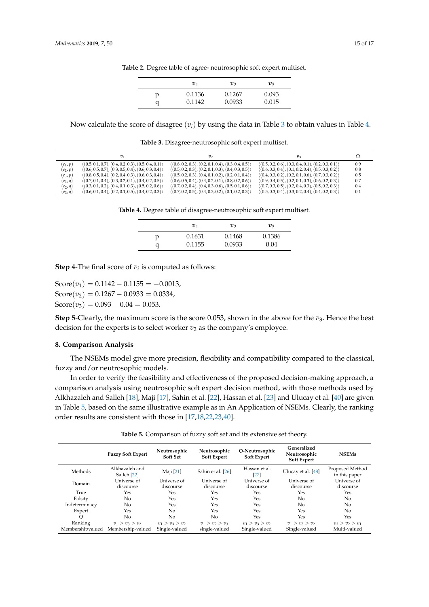|   | $v_1$  | υາ     | $v_3$ |
|---|--------|--------|-------|
| р | 0.1136 | 0.1267 | 0.093 |
| a | 0.1142 | 0.0933 | 0.015 |

**Table 2.** Degree table of agree- neutrosophic soft expert multiset.

<span id="page-14-0"></span>Now calculate the score of disagree  $(v_i)$  by using the data in Table [3](#page-14-1) to obtain values in Table [4.](#page-14-2)

**Table 3.** Disagree-neutrosophic soft expert multiset.

<span id="page-14-2"></span><span id="page-14-1"></span>

|            | $v_1$                                                               | v <sub>2</sub>                                                      | $v_{3}$                                                             |     |
|------------|---------------------------------------------------------------------|---------------------------------------------------------------------|---------------------------------------------------------------------|-----|
| $(e_1, p)$ | $\langle (0.5, 0.1, 0.7), (0.4, 0.2, 0.3), (0.5, 0.4, 0.1) \rangle$ | $\langle (0.8, 0.2, 0.3), (0.2, 0.1, 0.4), (0.3, 0.4, 0.5) \rangle$ | $\langle (0.5, 0.2, 0.6), (0.3, 0.4, 0.1), (0.2, 0.3, 0.1) \rangle$ | 0.9 |
| $(e_2, p)$ | $\langle (0.6, 0.5, 0.7), (0.3, 0.5, 0.4), (0.6, 0.3, 0.4) \rangle$ | $\langle (0.5, 0.2, 0.3), (0.2, 0.1, 0.3), (0.4, 0.3, 0.5) \rangle$ | $\langle (0.6, 0.3, 0.4), (0.1, 0.2, 0.4), (0.5, 0.3, 0.2) \rangle$ | 0.8 |
| $(e_3, p)$ | $\langle (0.8, 0.5, 0.4), (0.2, 0.4, 0.3), (0.6, 0.3, 0.4) \rangle$ | $\langle (0.5, 0.2, 0.3), (0.4, 0.1, 0.2), (0.2, 0.1, 0.4) \rangle$ | $\langle (0.4, 0.3, 0.2), (0.2, 0.1, 0.6), (0.7, 0.3, 0.2) \rangle$ | 0.5 |
| $(e_1,q)$  | $\langle (0.7, 0.1, 0.4), (0.3, 0.2, 0.1), (0.4, 0.2, 0.5) \rangle$ | $\langle (0.6, 0.5, 0.4), (0.4, 0.2, 0.1), (0.8, 0.2, 0.6) \rangle$ | $\langle (0.9, 0.4, 0.5), (0.2, 0.1, 0.3), (0.6, 0.2, 0.3) \rangle$ | 0.7 |
| $(e_2, q)$ | $\langle (0.3, 0.1, 0.2), (0.4, 0.1, 0.3), (0.5, 0.2, 0.6) \rangle$ | $\langle (0.7, 0.2, 0.4), (0.4, 0.3, 0.6), (0.5, 0.1, 0.6) \rangle$ | $\langle (0.7, 0.3, 0.5), (0.2, 0.4, 0.3), (0.5, 0.2, 0.3) \rangle$ | 0.4 |
| $(e_3, q)$ | $\langle (0.6, 0.1, 0.4), (0.2, 0.1, 0.5), (0.4, 0.2, 0.3) \rangle$ | $\langle (0.7, 0.2, 0.5), (0.4, 0.3, 0.2), (0.1, 0.2, 0.3) \rangle$ | $\langle (0.5, 0.3, 0.4), (0.3, 0.2, 0.4), (0.4, 0.2, 0.3) \rangle$ | 0.1 |

**Table 4.** Degree table of disagree-neutrosophic soft expert multiset.

|   | $v_1$  | υາ     | $v_3$  |
|---|--------|--------|--------|
| p | 0.1631 | 0.1468 | 0.1386 |
| a | 0.1155 | 0.0933 | 0.04   |

**Step 4-The final score of**  $v_i$  **is computed as follows:** 

 $Score(v_1) = 0.1142 - 0.1155 = -0.0013$ ,  $Score(v_2) = 0.1267 - 0.0933 = 0.0334,$  $Score(v_3) = 0.093 - 0.04 = 0.053$ .

**Step 5**-Clearly, the maximum score is the score 0.053, shown in the above for the  $v_3$ . Hence the best decision for the experts is to select worker  $v_2$  as the company's employee.

#### **8. Comparison Analysis**

The NSEMs model give more precision, flexibility and compatibility compared to the classical, fuzzy and/or neutrosophic models.

In order to verify the feasibility and effectiveness of the proposed decision-making approach, a comparison analysis using neutrosophic soft expert decision method, with those methods used by Alkhazaleh and Salleh [\[18\]](#page-15-15), Maji [\[17\]](#page-15-22), Sahin et al. [\[22\]](#page-15-19), Hassan et al. [\[23\]](#page-15-20) and Ulucay et al. [\[40\]](#page-16-13) are given in Table [5,](#page-14-3) based on the same illustrative example as in An Application of NSEMs. Clearly, the ranking order results are consistent with those in [\[17](#page-15-22)[,18](#page-15-15)[,22](#page-15-19)[,23,](#page-15-20)[40\]](#page-16-13).

**Table 5.** Comparison of fuzzy soft set and its extensive set theory.

<span id="page-14-3"></span>

|                             | <b>Fuzzy Soft Expert</b>               | Neutrosophic<br>Soft Set           | Neutrosophic<br><b>Soft Expert</b> | O-Neutrosophic<br><b>Soft Expert</b> | Generalized<br>Neutrosophic<br><b>Soft Expert</b> | <b>NSEMs</b>                      |
|-----------------------------|----------------------------------------|------------------------------------|------------------------------------|--------------------------------------|---------------------------------------------------|-----------------------------------|
| Methods                     | Alkhazaleh and<br>Salleh [22]          | Maji [21]                          | Sahin et al. [26]                  | Hassan et al.<br>$[27]$              | Ulucay et al. [48]                                | Proposed Method<br>in this paper  |
| Domain                      | Universe of<br>discourse               | Universe of<br>discourse           | Universe of<br>discourse           | Universe of<br>discourse             | Universe of<br>discourse                          | Universe of<br>discourse          |
| True                        | Yes                                    | Yes                                | Yes                                | Yes                                  | Yes                                               | Yes                               |
| Falsity                     | No                                     | Yes                                | Yes                                | Yes                                  | No                                                | No                                |
| Indeterminacy               | No                                     | Yes                                | Yes                                | Yes                                  | No.                                               | No                                |
| Expert                      | Yes                                    | No                                 | Yes                                | Yes                                  | <b>Yes</b>                                        | No                                |
| $\circ$                     | No                                     | N <sub>0</sub>                     | No                                 | Yes                                  | Yes                                               | Yes                               |
| Ranking<br>Membershipvalued | $v_1 > v_3 > v_2$<br>Membership-valued | $v_1 > v_3 > v_2$<br>Single-valued | $v_1 > v_2 > v_3$<br>single-valued | $v_1 > v_3 > v_2$<br>Single-valued   | $v_1 > v_3 > v_2$<br>Single-valued                | $v_3 > v_2 > v_1$<br>Multi-valued |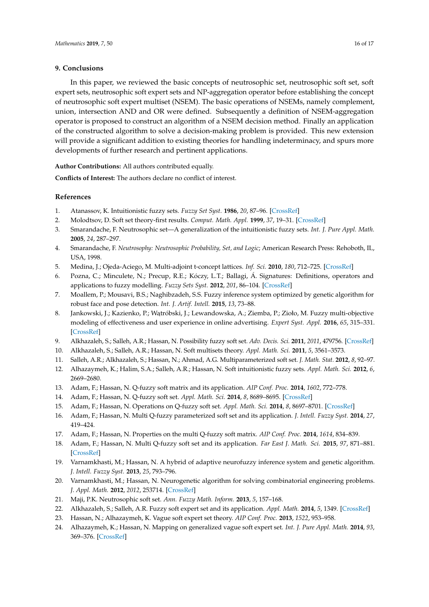## **9. Conclusions**

In this paper, we reviewed the basic concepts of neutrosophic set, neutrosophic soft set, soft expert sets, neutrosophic soft expert sets and NP-aggregation operator before establishing the concept of neutrosophic soft expert multiset (NSEM). The basic operations of NSEMs, namely complement, union, intersection AND and OR were defined. Subsequently a definition of NSEM-aggregation operator is proposed to construct an algorithm of a NSEM decision method. Finally an application of the constructed algorithm to solve a decision-making problem is provided. This new extension will provide a significant addition to existing theories for handling indeterminacy, and spurs more developments of further research and pertinent applications.

**Author Contributions:** All authors contributed equally.

**Conflicts of Interest:** The authors declare no conflict of interest.

# **References**

- <span id="page-15-0"></span>1. Atanassov, K. Intuitionistic fuzzy sets. *Fuzzy Set Syst.* **1986**, *20*, 87–96. [\[CrossRef\]](http://dx.doi.org/10.1016/S0165-0114(86)80034-3)
- <span id="page-15-1"></span>2. Molodtsov, D. Soft set theory-first results. *Comput. Math. Appl.* **1999**, *37*, 19–31. [\[CrossRef\]](http://dx.doi.org/10.1016/S0898-1221(99)00056-5)
- <span id="page-15-2"></span>3. Smarandache, F. Neutrosophic set—A generalization of the intuitionistic fuzzy sets. *Int. J. Pure Appl. Math.* **2005**, *24*, 287–297.
- <span id="page-15-3"></span>4. Smarandache, F. *Neutrosophy: Neutrosophic Probability, Set, and Logic*; American Research Press: Rehoboth, IL, USA, 1998.
- <span id="page-15-4"></span>5. Medina, J.; Ojeda-Aciego, M. Multi-adjoint t-concept lattices. *Inf. Sci.* **2010**, *180*, 712–725. [\[CrossRef\]](http://dx.doi.org/10.1016/j.ins.2009.11.018)
- <span id="page-15-5"></span>6. Pozna, C.; Minculete, N.; Precup, R.E.; Kóczy, L.T.; Ballagi, Á. Signatures: Definitions, operators and applications to fuzzy modelling. *Fuzzy Sets Syst.* **2012**, *201*, 86–104. [\[CrossRef\]](http://dx.doi.org/10.1016/j.fss.2011.12.016)
- <span id="page-15-6"></span>7. Moallem, P.; Mousavi, B.S.; Naghibzadeh, S.S. Fuzzy inference system optimized by genetic algorithm for robust face and pose detection. *Int. J. Artif. Intell.* **2015**, *13*, 73–88.
- <span id="page-15-7"></span>8. Jankowski, J.; Kazienko, P.; Wątróbski, J.; Lewandowska, A.; Ziemba, P.; Zioło, M. Fuzzy multi-objective modeling of effectiveness and user experience in online advertising. *Expert Syst. Appl.* **2016**, *65*, 315–331. [\[CrossRef\]](http://dx.doi.org/10.1016/j.eswa.2016.08.049)
- <span id="page-15-8"></span>9. Alkhazaleh, S.; Salleh, A.R.; Hassan, N. Possibility fuzzy soft set. *Adv. Decis. Sci.* **2011**, *2011*, 479756. [\[CrossRef\]](http://dx.doi.org/10.1155/2011/479756)
- <span id="page-15-9"></span>10. Alkhazaleh, S.; Salleh, A.R.; Hassan, N. Soft multisets theory. *Appl. Math. Sci.* **2011**, *5*, 3561–3573.
- <span id="page-15-10"></span>11. Salleh, A.R.; Alkhazaleh, S.; Hassan, N.; Ahmad, A.G. Multiparameterized soft set. *J. Math. Stat.* **2012**, *8*, 92–97.
- <span id="page-15-11"></span>12. Alhazaymeh, K.; Halim, S.A.; Salleh, A.R.; Hassan, N. Soft intuitionistic fuzzy sets. *Appl. Math. Sci.* **2012**, *6*, 2669–2680.
- <span id="page-15-12"></span>13. Adam, F.; Hassan, N. Q-fuzzy soft matrix and its application. *AIP Conf. Proc.* **2014**, *1602*, 772–778.
- 14. Adam, F.; Hassan, N. Q-fuzzy soft set. *Appl. Math. Sci.* **2014**, *8*, 8689–8695. [\[CrossRef\]](http://dx.doi.org/10.12988/ams.2014.410865)
- <span id="page-15-13"></span>15. Adam, F.; Hassan, N. Operations on Q-fuzzy soft set. *Appl. Math. Sci.* **2014**, *8*, 8697–8701. [\[CrossRef\]](http://dx.doi.org/10.12988/ams.2014.410866)
- <span id="page-15-14"></span>16. Adam, F.; Hassan, N. Multi Q-fuzzy parameterized soft set and its application. *J. Intell. Fuzzy Syst.* **2014**, *27*, 419–424.
- <span id="page-15-22"></span>17. Adam, F.; Hassan, N. Properties on the multi Q-fuzzy soft matrix. *AIP Conf. Proc.* **2014**, *1614*, 834–839.
- <span id="page-15-15"></span>18. Adam, F.; Hassan, N. Multi Q-fuzzy soft set and its application. *Far East J. Math. Sci.* **2015**, *97*, 871–881. [\[CrossRef\]](http://dx.doi.org/10.3233/IFS-151816)
- <span id="page-15-16"></span>19. Varnamkhasti, M.; Hassan, N. A hybrid of adaptive neurofuzzy inference system and genetic algorithm. *J. Intell. Fuzzy Syst.* **2013**, *25*, 793–796.
- <span id="page-15-17"></span>20. Varnamkhasti, M.; Hassan, N. Neurogenetic algorithm for solving combinatorial engineering problems. *J. Appl. Math.* **2012**, *2012*, 253714. [\[CrossRef\]](http://dx.doi.org/10.1155/2012/253714)
- <span id="page-15-18"></span>21. Maji, P.K. Neutrosophic soft set. *Ann. Fuzzy Math. Inform.* **2013**, *5*, 157–168.
- <span id="page-15-19"></span>22. Alkhazaleh, S.; Salleh, A.R. Fuzzy soft expert set and its application. *Appl. Math.* **2014**, *5*, 1349. [\[CrossRef\]](http://dx.doi.org/10.4236/am.2014.59127)
- <span id="page-15-20"></span>23. Hassan, N.; Alhazaymeh, K. Vague soft expert set theory. *AIP Conf. Proc.* **2013**, *1522*, 953–958.
- <span id="page-15-21"></span>24. Alhazaymeh, K.; Hassan, N. Mapping on generalized vague soft expert set. *Int. J. Pure Appl. Math.* **2014**, *93*, 369–376. [\[CrossRef\]](http://dx.doi.org/10.12732/ijpam.v93i3.7)